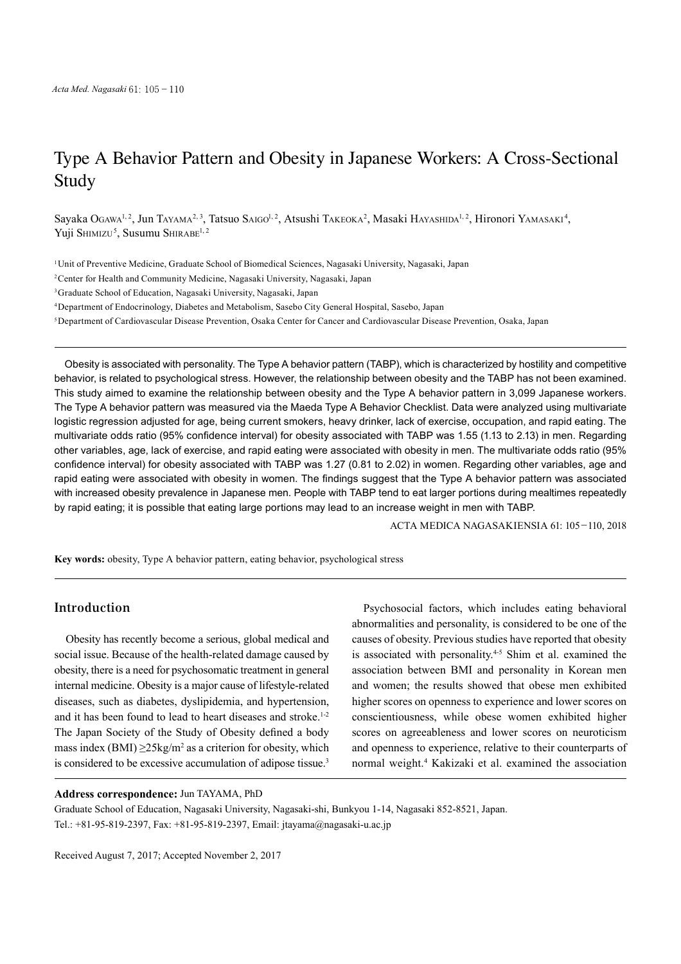# Type A Behavior Pattern and Obesity in Japanese Workers: A Cross-Sectional Study

Sayaka Ogawa<sup>1, 2</sup>, Jun Tayama<sup>2, 3</sup>, Tatsuo Saigo<sup>1, 2</sup>, Atsushi Takeoka<sup>2</sup>, Masaki Hayashida<sup>1, 2</sup>, Hironori Yamasaki<sup>4</sup>, Yuji Shimizu<sup>5</sup>, Susumu Shirabe<sup>1, 2</sup>

1Unit of Preventive Medicine, Graduate School of Biomedical Sciences, Nagasaki University, Nagasaki, Japan

2Center for Health and Community Medicine, Nagasaki University, Nagasaki, Japan

3Graduate School of Education, Nagasaki University, Nagasaki, Japan

4Department of Endocrinology, Diabetes and Metabolism, Sasebo City General Hospital, Sasebo, Japan

5Department of Cardiovascular Disease Prevention, Osaka Center for Cancer and Cardiovascular Disease Prevention, Osaka, Japan

Obesity is associated with personality. The Type A behavior pattern (TABP), which is characterized by hostility and competitive behavior, is related to psychological stress. However, the relationship between obesity and the TABP has not been examined. This study aimed to examine the relationship between obesity and the Type A behavior pattern in 3,099 Japanese workers. The Type A behavior pattern was measured via the Maeda Type A Behavior Checklist. Data were analyzed using multivariate logistic regression adjusted for age, being current smokers, heavy drinker, lack of exercise, occupation, and rapid eating. The multivariate odds ratio (95% confidence interval) for obesity associated with TABP was 1.55 (1.13 to 2.13) in men. Regarding other variables, age, lack of exercise, and rapid eating were associated with obesity in men. The multivariate odds ratio (95% confidence interval) for obesity associated with TABP was 1.27 (0.81 to 2.02) in women. Regarding other variables, age and rapid eating were associated with obesity in women. The findings suggest that the Type A behavior pattern was associated with increased obesity prevalence in Japanese men. People with TABP tend to eat larger portions during mealtimes repeatedly by rapid eating; it is possible that eating large portions may lead to an increase weight in men with TABP.

ACTA MEDICA NAGASAKIENSIA 61: 105−110, 2018

**Key words:** obesity, Type A behavior pattern, eating behavior, psychological stress

# **Introduction**

Obesity has recently become a serious, global medical and social issue. Because of the health-related damage caused by obesity, there is a need for psychosomatic treatment in general internal medicine. Obesity is a major cause of lifestyle-related diseases, such as diabetes, dyslipidemia, and hypertension, and it has been found to lead to heart diseases and stroke. 1-2 The Japan Society of the Study of Obesity defined a body mass index (BMI)  $\geq$ 25kg/m<sup>2</sup> as a criterion for obesity, which is considered to be excessive accumulation of adipose tissue.<sup>3</sup>

Psychosocial factors, which includes eating behavioral abnormalities and personality, is considered to be one of the causes of obesity. Previous studies have reported that obesity is associated with personality.<sup>4-5</sup> Shim et al. examined the association between BMI and personality in Korean men and women; the results showed that obese men exhibited higher scores on openness to experience and lower scores on conscientiousness, while obese women exhibited higher scores on agreeableness and lower scores on neuroticism and openness to experience, relative to their counterparts of normal weight. <sup>4</sup> Kakizaki et al. examined the association

### **Address correspondence:** Jun TAYAMA, PhD

Graduate School of Education, Nagasaki University, Nagasaki-shi, Bunkyou 1-14, Nagasaki 852-8521, Japan. Tel.: +81-95-819-2397, Fax: +81-95-819-2397, Email: jtayama@nagasaki-u.ac.jp

Received August 7, 2017; Accepted November 2, 2017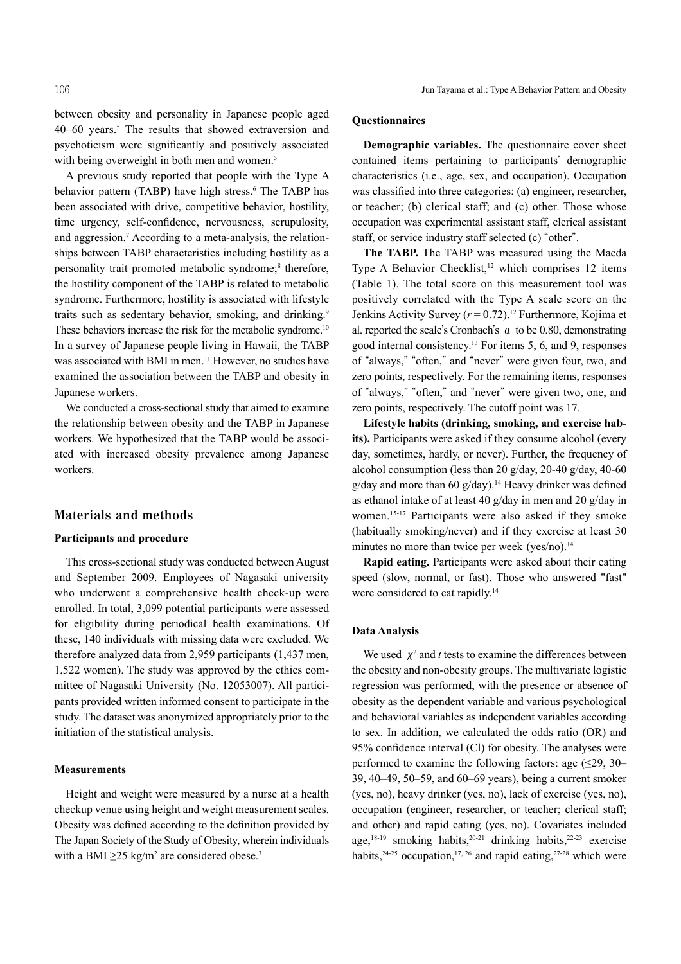between obesity and personality in Japanese people aged 40–60 years. <sup>5</sup> The results that showed extraversion and psychoticism were significantly and positively associated with being overweight in both men and women.<sup>5</sup>

A previous study reported that people with the Type A behavior pattern (TABP) have high stress. <sup>6</sup> The TABP has been associated with drive, competitive behavior, hostility, time urgency, self-confidence, nervousness, scrupulosity, and aggression. <sup>7</sup> According to a meta-analysis, the relationships between TABP characteristics including hostility as a personality trait promoted metabolic syndrome; <sup>8</sup> therefore, the hostility component of the TABP is related to metabolic syndrome. Furthermore, hostility is associated with lifestyle traits such as sedentary behavior, smoking, and drinking.<sup>9</sup> These behaviors increase the risk for the metabolic syndrome.<sup>10</sup> In a survey of Japanese people living in Hawaii, the TABP was associated with BMI in men. <sup>11</sup> However, no studies have examined the association between the TABP and obesity in Japanese workers.

We conducted a cross-sectional study that aimed to examine the relationship between obesity and the TABP in Japanese workers. We hypothesized that the TABP would be associated with increased obesity prevalence among Japanese workers.

### **Materials and methods**

#### **Participants and procedure**

This cross-sectional study was conducted between August and September 2009. Employees of Nagasaki university who underwent a comprehensive health check-up were enrolled. In total, 3,099 potential participants were assessed for eligibility during periodical health examinations. Of these, 140 individuals with missing data were excluded. We therefore analyzed data from 2,959 participants (1,437 men, 1,522 women). The study was approved by the ethics committee of Nagasaki University (No. 12053007). All participants provided written informed consent to participate in the study. The dataset was anonymized appropriately prior to the initiation of the statistical analysis.

#### **Measurements**

Height and weight were measured by a nurse at a health checkup venue using height and weight measurement scales. Obesity was defined according to the definition provided by The Japan Society of the Study of Obesity, wherein individuals with a BMI  $\geq$ 25 kg/m<sup>2</sup> are considered obese.<sup>3</sup>

#### **Questionnaires**

**Demographic variables.** The questionnaire cover sheet contained items pertaining to participants' demographic characteristics (i.e., age, sex, and occupation). Occupation was classified into three categories: (a) engineer, researcher, or teacher; (b) clerical staff; and (c) other. Those whose occupation was experimental assistant staff, clerical assistant staff, or service industry staff selected (c) "other".

**The TABP.** The TABP was measured using the Maeda Type A Behavior Checklist, <sup>12</sup> which comprises 12 items (Table 1). The total score on this measurement tool was positively correlated with the Type A scale score on the Jenkins Activity Survey (*r* = 0.72). <sup>12</sup> Furthermore, Kojima et al. reported the scale's Cronbach's  $\alpha$  to be 0.80, demonstrating good internal consistency. <sup>13</sup> For items 5, 6, and 9, responses of "always," "often," and "never" were given four, two, and zero points, respectively. For the remaining items, responses of "always," "often," and "never" were given two, one, and zero points, respectively. The cutoff point was 17.

**Lifestyle habits (drinking, smoking, and exercise habits).** Participants were asked if they consume alcohol (every day, sometimes, hardly, or never). Further, the frequency of alcohol consumption (less than 20 g/day, 20-40 g/day, 40-60 g/day and more than 60 g/day). <sup>14</sup> Heavy drinker was defined as ethanol intake of at least 40 g/day in men and 20 g/day in women. 15-17 Participants were also asked if they smoke (habitually smoking/never) and if they exercise at least 30 minutes no more than twice per week (yes/no).<sup>14</sup>

**Rapid eating.** Participants were asked about their eating speed (slow, normal, or fast). Those who answered "fast" were considered to eat rapidly.<sup>14</sup>

#### **Data Analysis**

We used  $\chi^2$  and *t* tests to examine the differences between the obesity and non-obesity groups. The multivariate logistic regression was performed, with the presence or absence of obesity as the dependent variable and various psychological and behavioral variables as independent variables according to sex. In addition, we calculated the odds ratio (OR) and 95% confidence interval (Cl) for obesity. The analyses were performed to examine the following factors: age  $(\leq 29, 30$ – 39, 40–49, 50–59, and 60–69 years), being a current smoker (yes, no), heavy drinker (yes, no), lack of exercise (yes, no), occupation (engineer, researcher, or teacher; clerical staff; and other) and rapid eating (yes, no). Covariates included age, 18-19 smoking habits, 20-21 drinking habits, 22-23 exercise habits,  $2^{4-25}$  occupation,  $17, 26$  and rapid eating,  $27-28$  which were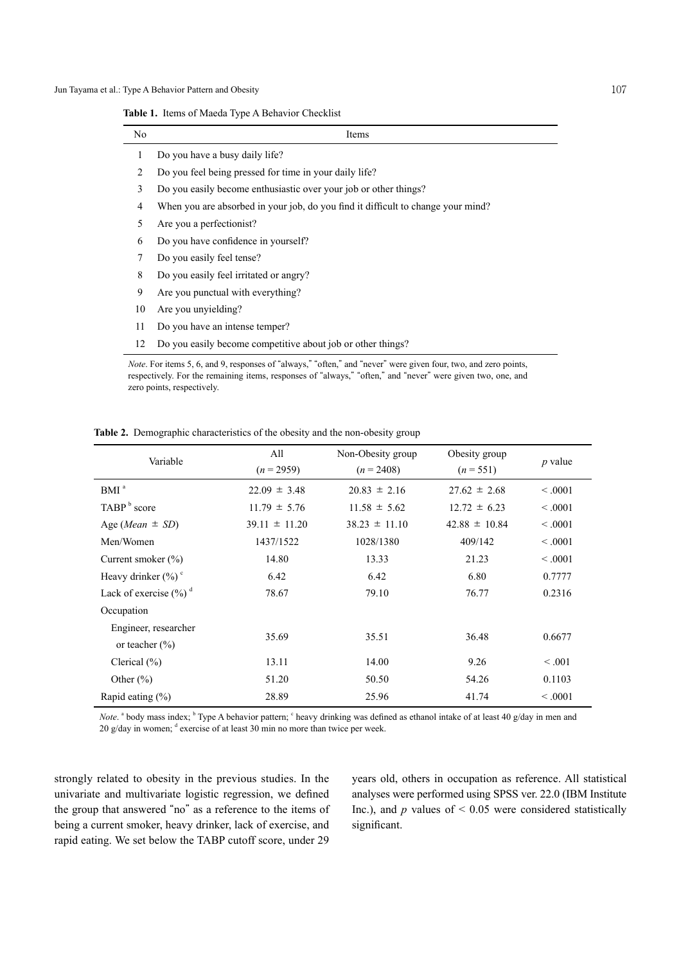**Table 1.** Items of Maeda Type A Behavior Checklist

| N <sub>0</sub> | Items                                                                            |
|----------------|----------------------------------------------------------------------------------|
| 1              | Do you have a busy daily life?                                                   |
| 2              | Do you feel being pressed for time in your daily life?                           |
| 3              | Do you easily become enthusiastic over your job or other things?                 |
| 4              | When you are absorbed in your job, do you find it difficult to change your mind? |
| 5              | Are you a perfectionist?                                                         |
| 6              | Do you have confidence in yourself?                                              |
| 7              | Do you easily feel tense?                                                        |
| 8              | Do you easily feel irritated or angry?                                           |
| 9              | Are you punctual with everything?                                                |
| 10             | Are you unyielding?                                                              |
| 11             | Do you have an intense temper?                                                   |
| 12             | Do you easily become competitive about job or other things?                      |
|                | $Note For time 5, 6, and 0, for temperature ^{"}$                                |

*Note*. For items 5, 6, and 9, responses of "always," "often," and "never" were given four, two, and zero points, respectively. For the remaining items, responses of "always," "often," and "never" were given two, one, and zero points, respectively.

| Variable                                   | All<br>$(n = 2959)$ | Non-Obesity group<br>$(n = 2408)$ | Obesity group<br>$(n = 551)$ | $p$ value |
|--------------------------------------------|---------------------|-----------------------------------|------------------------------|-----------|
| BMI <sup>a</sup>                           | $22.09 \pm 3.48$    | $20.83 \pm 2.16$                  | $27.62 \pm 2.68$             | < 0.001   |
| TABP <sup>b</sup> score                    | $11.79 \pm 5.76$    | $11.58 \pm 5.62$                  | $12.72 \pm 6.23$             | < 0.001   |
| Age ( <i>Mean</i> $\pm$ <i>SD</i> )        | $39.11 \pm 11.20$   | $38.23 \pm 11.10$                 | $42.88 \pm 10.84$            | < 0.001   |
| Men/Women                                  | 1437/1522           | 1028/1380                         | 409/142                      | < 0.001   |
| Current smoker $(\% )$                     | 14.80               | 13.33                             | 21.23                        | < 0.001   |
| Heavy drinker $(\% )$ <sup>c</sup>         | 6.42                | 6.42                              | 6.80                         | 0.7777    |
| Lack of exercise $(\frac{6}{6})^d$         | 78.67               | 79.10                             | 76.77                        | 0.2316    |
| Occupation                                 |                     |                                   |                              |           |
| Engineer, researcher<br>or teacher $(\% )$ | 35.69               | 35.51                             | 36.48                        | 0.6677    |
| Clerical $(\% )$                           | 13.11               | 14.00                             | 9.26                         | < 0.001   |
| Other $(\% )$                              | 51.20               | 50.50                             | 54.26                        | 0.1103    |
| Rapid eating $(\% )$                       | 28.89               | 25.96                             | 41.74                        | < 0.001   |

**Table 2.** Demographic characteristics of the obesity and the non-obesity group

*Note*. <sup>a</sup> body mass index; <sup>b</sup> Type A behavior pattern; <sup>c</sup> heavy drinking was defined as ethanol intake of at least 40 g/day in men and 20 g/day in women;  $d$  exercise of at least 30 min no more than twice per week.

strongly related to obesity in the previous studies. In the univariate and multivariate logistic regression, we defined the group that answered "no" as a reference to the items of being a current smoker, heavy drinker, lack of exercise, and rapid eating. We set below the TABP cutoff score, under 29

years old, others in occupation as reference. All statistical analyses were performed using SPSS ver. 22.0 (IBM Institute Inc.), and  $p$  values of  $\leq 0.05$  were considered statistically significant.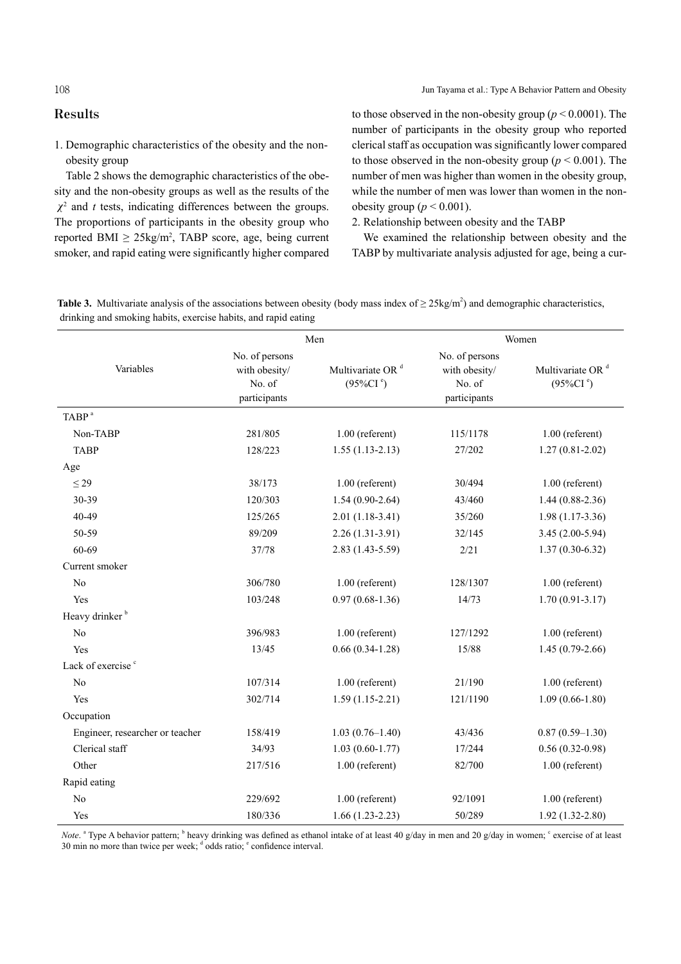1. Demographic characteristics of the obesity and the nonobesity group

Table 2 shows the demographic characteristics of the obesity and the non-obesity groups as well as the results of the  $\chi^2$  and *t* tests, indicating differences between the groups. The proportions of participants in the obesity group who reported BMI  $\geq 25\text{kg/m}^2$ , TABP score, age, being current smoker, and rapid eating were significantly higher compared to those observed in the non-obesity group ( $p \le 0.0001$ ). The number of participants in the obesity group who reported clerical staff as occupation was significantly lower compared to those observed in the non-obesity group ( $p \le 0.001$ ). The number of men was higher than women in the obesity group, while the number of men was lower than women in the nonobesity group ( $p < 0.001$ ).

# 2. Relationship between obesity and the TABP

We examined the relationship between obesity and the TABP by multivariate analysis adjusted for age, being a cur-

**Table 3.** Multivariate analysis of the associations between obesity (body mass index of  $\geq 25 \text{kg/m}^2$ ) and demographic characteristics, drinking and smoking habits, exercise habits, and rapid eating

|                                 | Men                                                       |                                                    | Women                                                     |                                                    |
|---------------------------------|-----------------------------------------------------------|----------------------------------------------------|-----------------------------------------------------------|----------------------------------------------------|
| Variables                       | No. of persons<br>with obesity/<br>No. of<br>participants | Multivariate OR <sup>d</sup><br>$(95\%CI^{\circ})$ | No. of persons<br>with obesity/<br>No. of<br>participants | Multivariate OR <sup>d</sup><br>$(95\%CI^{\circ})$ |
| TABP <sup>a</sup>               |                                                           |                                                    |                                                           |                                                    |
| Non-TABP                        | 281/805                                                   | $1.00$ (referent)                                  | 115/1178                                                  | $1.00$ (referent)                                  |
| <b>TABP</b>                     | 128/223                                                   | $1.55(1.13-2.13)$                                  | 27/202                                                    | $1.27(0.81 - 2.02)$                                |
| Age                             |                                                           |                                                    |                                                           |                                                    |
| $\leq$ 29                       | 38/173                                                    | $1.00$ (referent)                                  | 30/494                                                    | $1.00$ (referent)                                  |
| 30-39                           | 120/303                                                   | $1.54(0.90-2.64)$                                  | 43/460                                                    | $1.44(0.88-2.36)$                                  |
| 40-49                           | 125/265                                                   | $2.01(1.18-3.41)$                                  | 35/260                                                    | $1.98(1.17-3.36)$                                  |
| 50-59                           | 89/209                                                    | $2.26(1.31-3.91)$                                  | 32/145                                                    | $3.45(2.00-5.94)$                                  |
| 60-69                           | 37/78                                                     | $2.83(1.43 - 5.59)$                                | 2/21                                                      | $1.37(0.30-6.32)$                                  |
| Current smoker                  |                                                           |                                                    |                                                           |                                                    |
| No                              | 306/780                                                   | $1.00$ (referent)                                  | 128/1307                                                  | $1.00$ (referent)                                  |
| Yes                             | 103/248                                                   | $0.97(0.68-1.36)$                                  | 14/73                                                     | $1.70(0.91 - 3.17)$                                |
| Heavy drinker <sup>b</sup>      |                                                           |                                                    |                                                           |                                                    |
| N <sub>0</sub>                  | 396/983                                                   | $1.00$ (referent)                                  | 127/1292                                                  | $1.00$ (referent)                                  |
| Yes                             | 13/45                                                     | $0.66(0.34-1.28)$                                  | 15/88                                                     | $1.45(0.79-2.66)$                                  |
| Lack of exercise <sup>c</sup>   |                                                           |                                                    |                                                           |                                                    |
| No                              | 107/314                                                   | $1.00$ (referent)                                  | 21/190                                                    | $1.00$ (referent)                                  |
| Yes                             | 302/714                                                   | $1.59(1.15-2.21)$                                  | 121/1190                                                  | $1.09(0.66 - 1.80)$                                |
| Occupation                      |                                                           |                                                    |                                                           |                                                    |
| Engineer, researcher or teacher | 158/419                                                   | $1.03(0.76 - 1.40)$                                | 43/436                                                    | $0.87(0.59-1.30)$                                  |
| Clerical staff                  | 34/93                                                     | $1.03(0.60-1.77)$                                  | 17/244                                                    | $0.56(0.32-0.98)$                                  |
| Other                           | 217/516                                                   | $1.00$ (referent)                                  | 82/700                                                    | $1.00$ (referent)                                  |
| Rapid eating                    |                                                           |                                                    |                                                           |                                                    |
| No                              | 229/692                                                   | $1.00$ (referent)                                  | 92/1091                                                   | $1.00$ (referent)                                  |
| Yes                             | 180/336                                                   | $1.66(1.23-2.23)$                                  | 50/289                                                    | $1.92(1.32 - 2.80)$                                |

*Note*. <sup>a</sup> Type A behavior pattern; <sup>b</sup> heavy drinking was defined as ethanol intake of at least 40 g/day in men and 20 g/day in women; c exercise of at least 30 min no more than twice per week;  $\frac{d}{d}$  odds ratio;  $\frac{e}{d}$  confidence interval.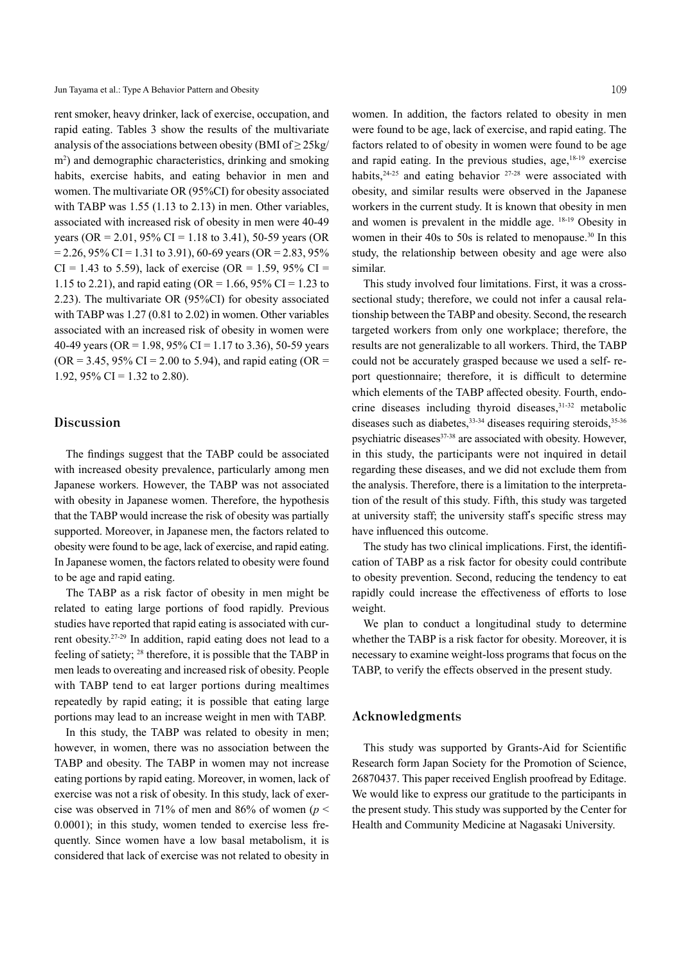Jun Tayama et al.: Type A Behavior Pattern and Obesity 109

rent smoker, heavy drinker, lack of exercise, occupation, and rapid eating. Tables 3 show the results of the multivariate analysis of the associations between obesity (BMI of  $\geq$  25kg/ m2 ) and demographic characteristics, drinking and smoking habits, exercise habits, and eating behavior in men and women. The multivariate OR (95%CI) for obesity associated with TABP was 1.55 (1.13 to 2.13) in men. Other variables, associated with increased risk of obesity in men were 40-49 years (OR = 2.01, 95% CI = 1.18 to 3.41), 50-59 years (OR  $= 2.26, 95\% \text{ CI} = 1.31 \text{ to } 3.91$ , 60-69 years (OR = 2.83, 95%)  $CI = 1.43$  to 5.59), lack of exercise (OR = 1.59, 95% CI = 1.15 to 2.21), and rapid eating (OR = 1.66, 95% CI = 1.23 to 2.23). The multivariate OR (95%CI) for obesity associated with TABP was 1.27 (0.81 to 2.02) in women. Other variables associated with an increased risk of obesity in women were 40-49 years (OR = 1.98,  $95\%$  CI = 1.17 to 3.36), 50-59 years  $(OR = 3.45, 95\% \text{ CI} = 2.00 \text{ to } 5.94)$ , and rapid eating  $(OR = 1.15, 9.95)$ 1.92, 95% CI = 1.32 to 2.80).

# **Discussion**

The findings suggest that the TABP could be associated with increased obesity prevalence, particularly among men Japanese workers. However, the TABP was not associated with obesity in Japanese women. Therefore, the hypothesis that the TABP would increase the risk of obesity was partially supported. Moreover, in Japanese men, the factors related to obesity were found to be age, lack of exercise, and rapid eating. In Japanese women, the factors related to obesity were found to be age and rapid eating.

The TABP as a risk factor of obesity in men might be related to eating large portions of food rapidly. Previous studies have reported that rapid eating is associated with current obesity. 27-29 In addition, rapid eating does not lead to a feeling of satiety; <sup>28</sup> therefore, it is possible that the TABP in men leads to overeating and increased risk of obesity. People with TABP tend to eat larger portions during mealtimes repeatedly by rapid eating; it is possible that eating large portions may lead to an increase weight in men with TABP.

In this study, the TABP was related to obesity in men; however, in women, there was no association between the TABP and obesity. The TABP in women may not increase eating portions by rapid eating. Moreover, in women, lack of exercise was not a risk of obesity. In this study, lack of exercise was observed in 71% of men and 86% of women ( $p \leq$ 0.0001); in this study, women tended to exercise less frequently. Since women have a low basal metabolism, it is considered that lack of exercise was not related to obesity in

women. In addition, the factors related to obesity in men were found to be age, lack of exercise, and rapid eating. The factors related to of obesity in women were found to be age and rapid eating. In the previous studies, age, 18-19 exercise habits,  $24-25$  and eating behavior  $27-28$  were associated with obesity, and similar results were observed in the Japanese workers in the current study. It is known that obesity in men and women is prevalent in the middle age. 18-19 Obesity in women in their 40s to 50s is related to menopause. <sup>30</sup> In this study, the relationship between obesity and age were also similar.

This study involved four limitations. First, it was a crosssectional study; therefore, we could not infer a causal relationship between the TABP and obesity. Second, the research targeted workers from only one workplace; therefore, the results are not generalizable to all workers. Third, the TABP could not be accurately grasped because we used a self- report questionnaire; therefore, it is difficult to determine which elements of the TABP affected obesity. Fourth, endocrine diseases including thyroid diseases, 31-32 metabolic diseases such as diabetes, 33-34 diseases requiring steroids, 35-36 psychiatric diseases<sup>37-38</sup> are associated with obesity. However, in this study, the participants were not inquired in detail regarding these diseases, and we did not exclude them from the analysis. Therefore, there is a limitation to the interpretation of the result of this study. Fifth, this study was targeted at university staff; the university staff's specific stress may have influenced this outcome.

The study has two clinical implications. First, the identification of TABP as a risk factor for obesity could contribute to obesity prevention. Second, reducing the tendency to eat rapidly could increase the effectiveness of efforts to lose weight.

We plan to conduct a longitudinal study to determine whether the TABP is a risk factor for obesity. Moreover, it is necessary to examine weight-loss programs that focus on the TABP, to verify the effects observed in the present study.

## **Acknowledgments**

This study was supported by Grants-Aid for Scientific Research form Japan Society for the Promotion of Science, 26870437. This paper received English proofread by Editage. We would like to express our gratitude to the participants in the present study. This study was supported by the Center for Health and Community Medicine at Nagasaki University.